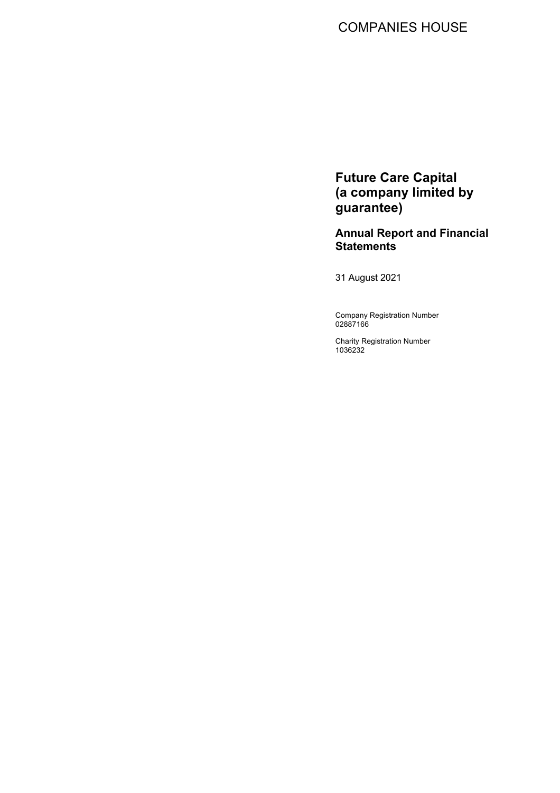# COMPANIES HOUSE

**Future Care Capital (a company limited by guarantee)**

**Annual Report and Financial Statements**

31 August 2021

Company Registration Number 02887166

Charity Registration Number 1036232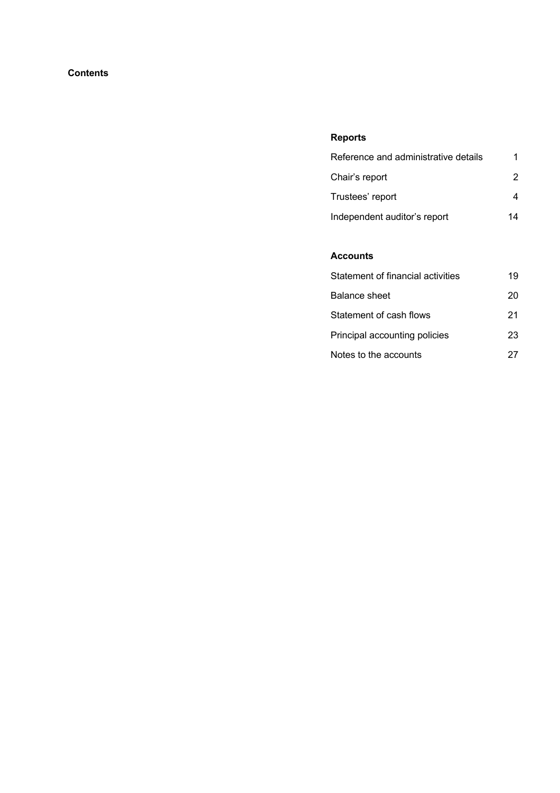# **Contents**

# **Reports**

| Reference and administrative details |    |
|--------------------------------------|----|
| Chair's report                       |    |
| Trustees' report                     |    |
| Independent auditor's report         | 14 |

# **Accounts**

| Statement of financial activities | 19 |
|-----------------------------------|----|
| <b>Balance sheet</b>              | 20 |
| Statement of cash flows           | 21 |
| Principal accounting policies     | 23 |
| Notes to the accounts             | 27 |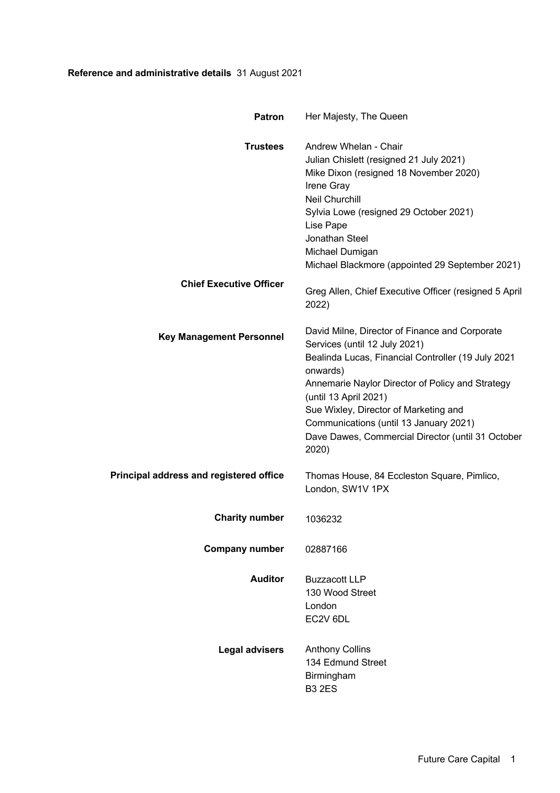# **Reference and administrative details** 31 August 2021

| <b>Patron</b>                                  | Her Majesty, The Queen                                                                                                                                                                                                                                                                                                                                                          |
|------------------------------------------------|---------------------------------------------------------------------------------------------------------------------------------------------------------------------------------------------------------------------------------------------------------------------------------------------------------------------------------------------------------------------------------|
| <b>Trustees</b>                                | Andrew Whelan - Chair<br>Julian Chislett (resigned 21 July 2021)<br>Mike Dixon (resigned 18 November 2020)<br>Irene Gray<br><b>Neil Churchill</b><br>Sylvia Lowe (resigned 29 October 2021)<br>Lise Pape<br>Jonathan Steel<br>Michael Dumigan<br>Michael Blackmore (appointed 29 September 2021)                                                                                |
| <b>Chief Executive Officer</b>                 | Greg Allen, Chief Executive Officer (resigned 5 April<br>2022)                                                                                                                                                                                                                                                                                                                  |
| <b>Key Management Personnel</b>                | David Milne, Director of Finance and Corporate<br>Services (until 12 July 2021)<br>Bealinda Lucas, Financial Controller (19 July 2021<br>onwards)<br>Annemarie Naylor Director of Policy and Strategy<br>(until 13 April 2021)<br>Sue Wixley, Director of Marketing and<br>Communications (until 13 January 2021)<br>Dave Dawes, Commercial Director (until 31 October<br>2020) |
| <b>Principal address and registered office</b> | Thomas House, 84 Eccleston Square, Pimlico,<br>London, SW1V 1PX                                                                                                                                                                                                                                                                                                                 |
| <b>Charity number</b>                          | 1036232                                                                                                                                                                                                                                                                                                                                                                         |
| <b>Company number</b>                          | 02887166                                                                                                                                                                                                                                                                                                                                                                        |
| <b>Auditor</b>                                 | <b>Buzzacott LLP</b><br>130 Wood Street<br>London<br>EC2V 6DL                                                                                                                                                                                                                                                                                                                   |
| <b>Legal advisers</b>                          | <b>Anthony Collins</b><br>134 Edmund Street<br>Birmingham<br><b>B3 2ES</b>                                                                                                                                                                                                                                                                                                      |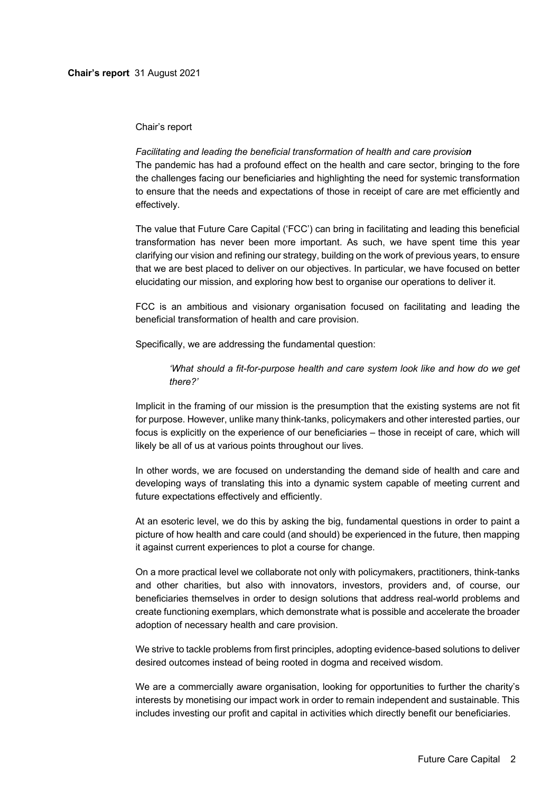### Chair's report

# *Facilitating and leading the beneficial transformation of health and care provision*

The pandemic has had a profound effect on the health and care sector, bringing to the fore the challenges facing our beneficiaries and highlighting the need for systemic transformation to ensure that the needs and expectations of those in receipt of care are met efficiently and effectively.

The value that Future Care Capital ('FCC') can bring in facilitating and leading this beneficial transformation has never been more important. As such, we have spent time this year clarifying our vision and refining our strategy, building on the work of previous years, to ensure that we are best placed to deliver on our objectives. In particular, we have focused on better elucidating our mission, and exploring how best to organise our operations to deliver it.

FCC is an ambitious and visionary organisation focused on facilitating and leading the beneficial transformation of health and care provision.

Specifically, we are addressing the fundamental question:

# *'What should a fit-for-purpose health and care system look like and how do we get there?'*

Implicit in the framing of our mission is the presumption that the existing systems are not fit for purpose. However, unlike many think-tanks, policymakers and other interested parties, our focus is explicitly on the experience of our beneficiaries – those in receipt of care, which will likely be all of us at various points throughout our lives.

In other words, we are focused on understanding the demand side of health and care and developing ways of translating this into a dynamic system capable of meeting current and future expectations effectively and efficiently.

At an esoteric level, we do this by asking the big, fundamental questions in order to paint a picture of how health and care could (and should) be experienced in the future, then mapping it against current experiences to plot a course for change.

On a more practical level we collaborate not only with policymakers, practitioners, think-tanks and other charities, but also with innovators, investors, providers and, of course, our beneficiaries themselves in order to design solutions that address real-world problems and create functioning exemplars, which demonstrate what is possible and accelerate the broader adoption of necessary health and care provision.

We strive to tackle problems from first principles, adopting evidence-based solutions to deliver desired outcomes instead of being rooted in dogma and received wisdom.

We are a commercially aware organisation, looking for opportunities to further the charity's interests by monetising our impact work in order to remain independent and sustainable. This includes investing our profit and capital in activities which directly benefit our beneficiaries.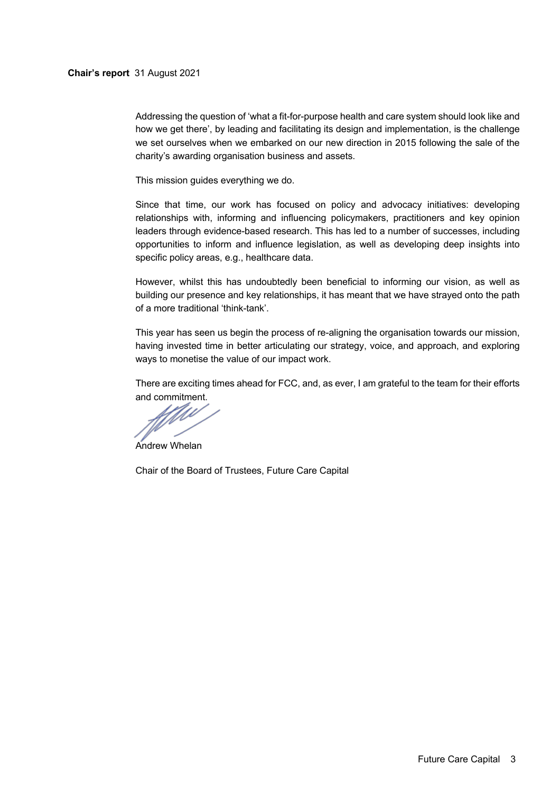### **Chair's report** 31 August 2021

Addressing the question of 'what a fit-for-purpose health and care system should look like and how we get there', by leading and facilitating its design and implementation, is the challenge we set ourselves when we embarked on our new direction in 2015 following the sale of the charity's awarding organisation business and assets.

This mission guides everything we do.

Since that time, our work has focused on policy and advocacy initiatives: developing relationships with, informing and influencing policymakers, practitioners and key opinion leaders through evidence-based research. This has led to a number of successes, including opportunities to inform and influence legislation, as well as developing deep insights into specific policy areas, e.g., healthcare data.

However, whilst this has undoubtedly been beneficial to informing our vision, as well as building our presence and key relationships, it has meant that we have strayed onto the path of a more traditional 'think-tank'.

This year has seen us begin the process of re-aligning the organisation towards our mission, having invested time in better articulating our strategy, voice, and approach, and exploring ways to monetise the value of our impact work.

There are exciting times ahead for FCC, and, as ever, I am grateful to the team for their efforts

and commitment.

Andrew Whelan

Chair of the Board of Trustees, Future Care Capital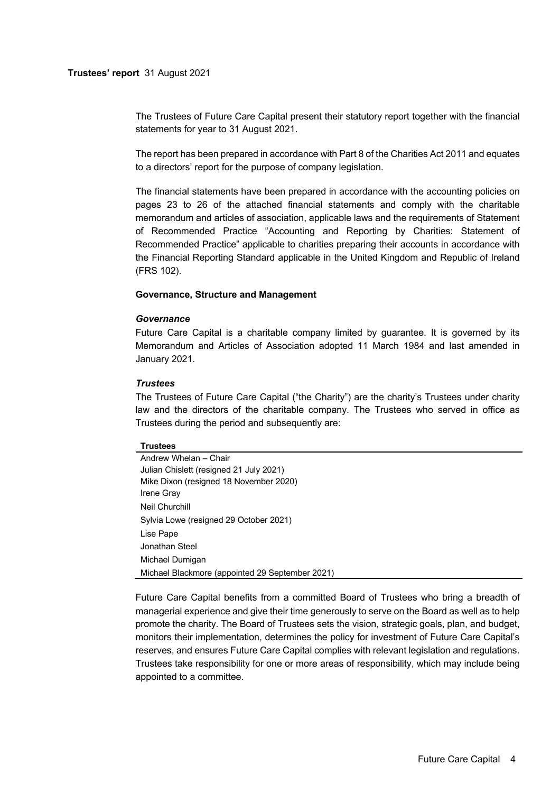The Trustees of Future Care Capital present their statutory report together with the financial statements for year to 31 August 2021.

The report has been prepared in accordance with Part 8 of the Charities Act 2011 and equates to a directors' report for the purpose of company legislation.

The financial statements have been prepared in accordance with the accounting policies on pages 23 to 26 of the attached financial statements and comply with the charitable memorandum and articles of association, applicable laws and the requirements of Statement of Recommended Practice "Accounting and Reporting by Charities: Statement of Recommended Practice" applicable to charities preparing their accounts in accordance with the Financial Reporting Standard applicable in the United Kingdom and Republic of Ireland (FRS 102).

### **Governance, Structure and Management**

#### *Governance*

Future Care Capital is a charitable company limited by guarantee. It is governed by its Memorandum and Articles of Association adopted 11 March 1984 and last amended in January 2021.

#### *Trustees*

The Trustees of Future Care Capital ("the Charity") are the charity's Trustees under charity law and the directors of the charitable company. The Trustees who served in office as Trustees during the period and subsequently are:

#### **Trustees**

| Andrew Whelan - Chair                           |
|-------------------------------------------------|
| Julian Chislett (resigned 21 July 2021)         |
| Mike Dixon (resigned 18 November 2020)          |
| <b>Irene Gray</b>                               |
| Neil Churchill                                  |
| Sylvia Lowe (resigned 29 October 2021)          |
| Lise Pape                                       |
| Jonathan Steel                                  |
| Michael Dumigan                                 |
| Michael Blackmore (appointed 29 September 2021) |

Future Care Capital benefits from a committed Board of Trustees who bring a breadth of managerial experience and give their time generously to serve on the Board as well as to help promote the charity. The Board of Trustees sets the vision, strategic goals, plan, and budget, monitors their implementation, determines the policy for investment of Future Care Capital's reserves, and ensures Future Care Capital complies with relevant legislation and regulations. Trustees take responsibility for one or more areas of responsibility, which may include being appointed to a committee.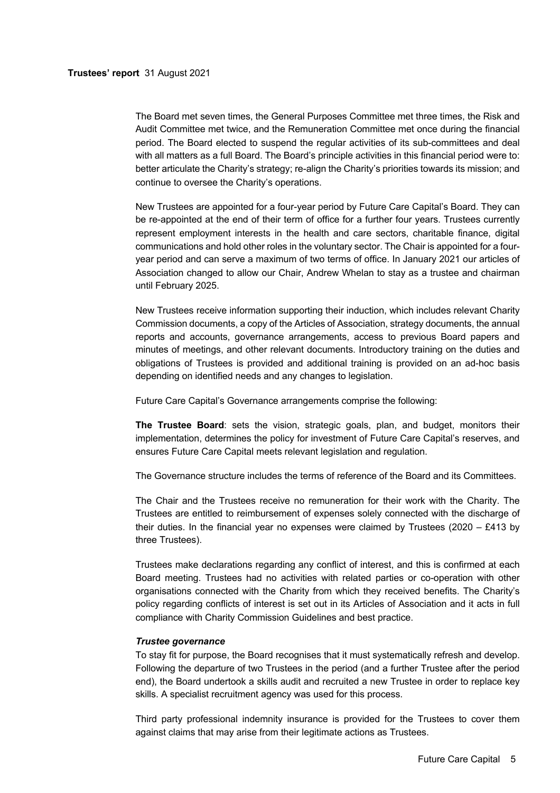The Board met seven times, the General Purposes Committee met three times, the Risk and Audit Committee met twice, and the Remuneration Committee met once during the financial period. The Board elected to suspend the regular activities of its sub-committees and deal with all matters as a full Board. The Board's principle activities in this financial period were to: better articulate the Charity's strategy; re-align the Charity's priorities towards its mission; and continue to oversee the Charity's operations.

New Trustees are appointed for a four-year period by Future Care Capital's Board. They can be re-appointed at the end of their term of office for a further four years. Trustees currently represent employment interests in the health and care sectors, charitable finance, digital communications and hold other roles in the voluntary sector. The Chair is appointed for a fouryear period and can serve a maximum of two terms of office. In January 2021 our articles of Association changed to allow our Chair, Andrew Whelan to stay as a trustee and chairman until February 2025.

New Trustees receive information supporting their induction, which includes relevant Charity Commission documents, a copy of the Articles of Association, strategy documents, the annual reports and accounts, governance arrangements, access to previous Board papers and minutes of meetings, and other relevant documents. Introductory training on the duties and obligations of Trustees is provided and additional training is provided on an ad-hoc basis depending on identified needs and any changes to legislation.

Future Care Capital's Governance arrangements comprise the following:

**The Trustee Board**: sets the vision, strategic goals, plan, and budget, monitors their implementation, determines the policy for investment of Future Care Capital's reserves, and ensures Future Care Capital meets relevant legislation and regulation.

The Governance structure includes the terms of reference of the Board and its Committees.

The Chair and the Trustees receive no remuneration for their work with the Charity. The Trustees are entitled to reimbursement of expenses solely connected with the discharge of their duties. In the financial year no expenses were claimed by Trustees (2020 – £413 by three Trustees).

Trustees make declarations regarding any conflict of interest, and this is confirmed at each Board meeting. Trustees had no activities with related parties or co-operation with other organisations connected with the Charity from which they received benefits. The Charity's policy regarding conflicts of interest is set out in its Articles of Association and it acts in full compliance with Charity Commission Guidelines and best practice.

### *Trustee governance*

To stay fit for purpose, the Board recognises that it must systematically refresh and develop. Following the departure of two Trustees in the period (and a further Trustee after the period end), the Board undertook a skills audit and recruited a new Trustee in order to replace key skills. A specialist recruitment agency was used for this process.

Third party professional indemnity insurance is provided for the Trustees to cover them against claims that may arise from their legitimate actions as Trustees.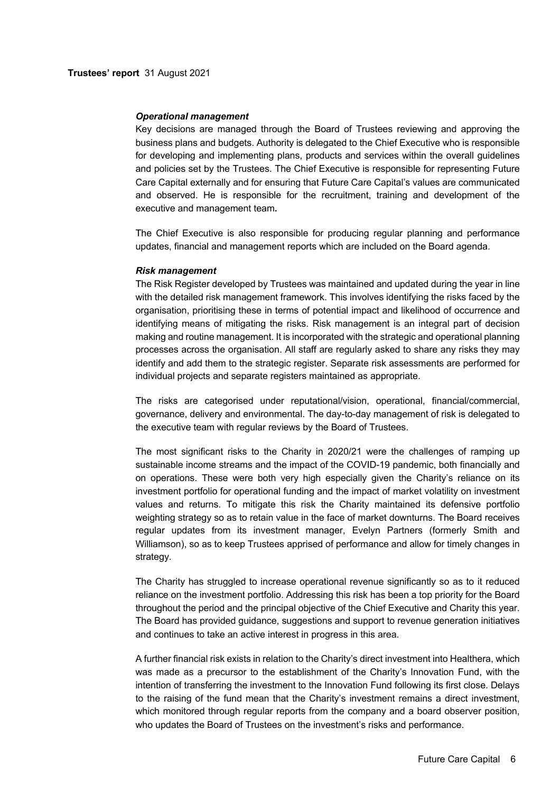#### *Operational management*

Key decisions are managed through the Board of Trustees reviewing and approving the business plans and budgets. Authority is delegated to the Chief Executive who is responsible for developing and implementing plans, products and services within the overall guidelines and policies set by the Trustees. The Chief Executive is responsible for representing Future Care Capital externally and for ensuring that Future Care Capital's values are communicated and observed. He is responsible for the recruitment, training and development of the executive and management team**.**

The Chief Executive is also responsible for producing regular planning and performance updates, financial and management reports which are included on the Board agenda.

#### *Risk management*

The Risk Register developed by Trustees was maintained and updated during the year in line with the detailed risk management framework. This involves identifying the risks faced by the organisation, prioritising these in terms of potential impact and likelihood of occurrence and identifying means of mitigating the risks. Risk management is an integral part of decision making and routine management. It is incorporated with the strategic and operational planning processes across the organisation. All staff are regularly asked to share any risks they may identify and add them to the strategic register. Separate risk assessments are performed for individual projects and separate registers maintained as appropriate.

The risks are categorised under reputational/vision, operational, financial/commercial, governance, delivery and environmental. The day-to-day management of risk is delegated to the executive team with regular reviews by the Board of Trustees.

The most significant risks to the Charity in 2020/21 were the challenges of ramping up sustainable income streams and the impact of the COVID-19 pandemic, both financially and on operations. These were both very high especially given the Charity's reliance on its investment portfolio for operational funding and the impact of market volatility on investment values and returns. To mitigate this risk the Charity maintained its defensive portfolio weighting strategy so as to retain value in the face of market downturns. The Board receives regular updates from its investment manager, Evelyn Partners (formerly Smith and Williamson), so as to keep Trustees apprised of performance and allow for timely changes in strategy.

The Charity has struggled to increase operational revenue significantly so as to it reduced reliance on the investment portfolio. Addressing this risk has been a top priority for the Board throughout the period and the principal objective of the Chief Executive and Charity this year. The Board has provided guidance, suggestions and support to revenue generation initiatives and continues to take an active interest in progress in this area.

A further financial risk exists in relation to the Charity's direct investment into Healthera, which was made as a precursor to the establishment of the Charity's Innovation Fund, with the intention of transferring the investment to the Innovation Fund following its first close. Delays to the raising of the fund mean that the Charity's investment remains a direct investment, which monitored through regular reports from the company and a board observer position, who updates the Board of Trustees on the investment's risks and performance.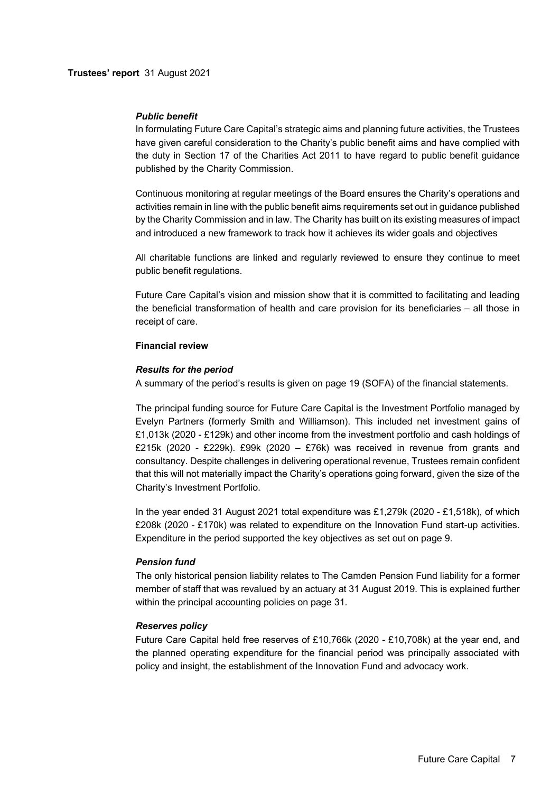## *Public benefit*

In formulating Future Care Capital's strategic aims and planning future activities, the Trustees have given careful consideration to the Charity's public benefit aims and have complied with the duty in Section 17 of the Charities Act 2011 to have regard to public benefit guidance published by the Charity Commission.

Continuous monitoring at regular meetings of the Board ensures the Charity's operations and activities remain in line with the public benefit aims requirements set out in guidance published by the Charity Commission and in law. The Charity has built on its existing measures of impact and introduced a new framework to track how it achieves its wider goals and objectives

All charitable functions are linked and regularly reviewed to ensure they continue to meet public benefit regulations.

Future Care Capital's vision and mission show that it is committed to facilitating and leading the beneficial transformation of health and care provision for its beneficiaries – all those in receipt of care.

## **Financial review**

## *Results for the period*

A summary of the period's results is given on page 19 (SOFA) of the financial statements.

The principal funding source for Future Care Capital is the Investment Portfolio managed by Evelyn Partners (formerly Smith and Williamson). This included net investment gains of £1,013k (2020 - £129k) and other income from the investment portfolio and cash holdings of £215k (2020 - £229k). £99k (2020 – £76k) was received in revenue from grants and consultancy. Despite challenges in delivering operational revenue, Trustees remain confident that this will not materially impact the Charity's operations going forward, given the size of the Charity's Investment Portfolio.

In the year ended 31 August 2021 total expenditure was £1,279k (2020 - £1,518k), of which £208k (2020 - £170k) was related to expenditure on the Innovation Fund start-up activities. Expenditure in the period supported the key objectives as set out on page 9.

# *Pension fund*

The only historical pension liability relates to The Camden Pension Fund liability for a former member of staff that was revalued by an actuary at 31 August 2019. This is explained further within the principal accounting policies on page 31.

# *Reserves policy*

Future Care Capital held free reserves of £10,766k (2020 - £10,708k) at the year end, and the planned operating expenditure for the financial period was principally associated with policy and insight, the establishment of the Innovation Fund and advocacy work.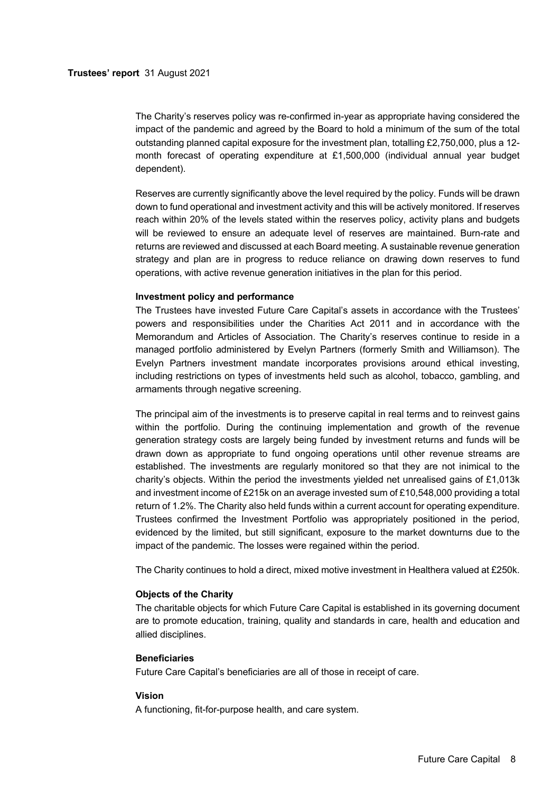The Charity's reserves policy was re-confirmed in-year as appropriate having considered the impact of the pandemic and agreed by the Board to hold a minimum of the sum of the total outstanding planned capital exposure for the investment plan, totalling £2,750,000, plus a 12 month forecast of operating expenditure at £1,500,000 (individual annual year budget dependent).

Reserves are currently significantly above the level required by the policy. Funds will be drawn down to fund operational and investment activity and this will be actively monitored. If reserves reach within 20% of the levels stated within the reserves policy, activity plans and budgets will be reviewed to ensure an adequate level of reserves are maintained. Burn-rate and returns are reviewed and discussed at each Board meeting. A sustainable revenue generation strategy and plan are in progress to reduce reliance on drawing down reserves to fund operations, with active revenue generation initiatives in the plan for this period.

### **Investment policy and performance**

The Trustees have invested Future Care Capital's assets in accordance with the Trustees' powers and responsibilities under the Charities Act 2011 and in accordance with the Memorandum and Articles of Association. The Charity's reserves continue to reside in a managed portfolio administered by Evelyn Partners (formerly Smith and Williamson). The Evelyn Partners investment mandate incorporates provisions around ethical investing, including restrictions on types of investments held such as alcohol, tobacco, gambling, and armaments through negative screening.

The principal aim of the investments is to preserve capital in real terms and to reinvest gains within the portfolio. During the continuing implementation and growth of the revenue generation strategy costs are largely being funded by investment returns and funds will be drawn down as appropriate to fund ongoing operations until other revenue streams are established. The investments are regularly monitored so that they are not inimical to the charity's objects. Within the period the investments yielded net unrealised gains of £1,013k and investment income of £215k on an average invested sum of £10,548,000 providing a total return of 1.2%. The Charity also held funds within a current account for operating expenditure. Trustees confirmed the Investment Portfolio was appropriately positioned in the period, evidenced by the limited, but still significant, exposure to the market downturns due to the impact of the pandemic. The losses were regained within the period.

The Charity continues to hold a direct, mixed motive investment in Healthera valued at £250k.

## **Objects of the Charity**

The charitable objects for which Future Care Capital is established in its governing document are to promote education, training, quality and standards in care, health and education and allied disciplines.

### **Beneficiaries**

Future Care Capital's beneficiaries are all of those in receipt of care.

### **Vision**

A functioning, fit-for-purpose health, and care system.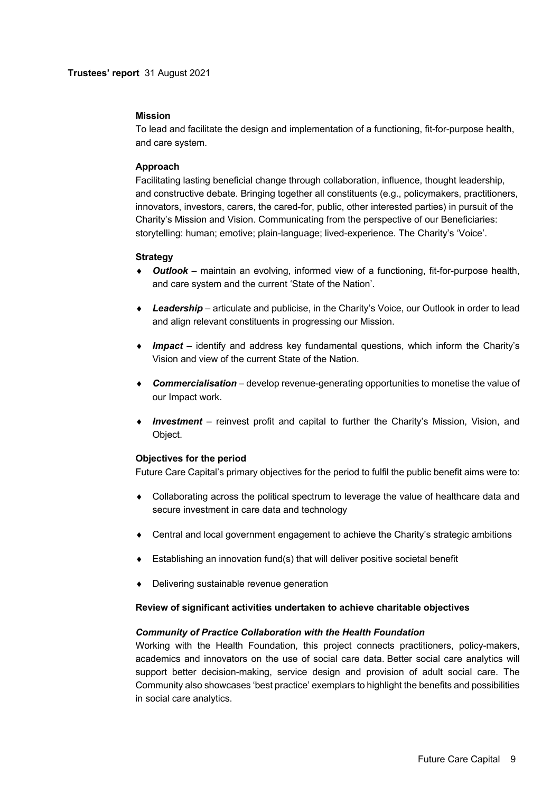### **Mission**

To lead and facilitate the design and implementation of a functioning, fit-for-purpose health, and care system.

## **Approach**

Facilitating lasting beneficial change through collaboration, influence, thought leadership, and constructive debate. Bringing together all constituents (e.g., policymakers, practitioners, innovators, investors, carers, the cared-for, public, other interested parties) in pursuit of the Charity's Mission and Vision. Communicating from the perspective of our Beneficiaries: storytelling: human; emotive; plain-language; lived-experience. The Charity's 'Voice'.

### **Strategy**

- ◆ **Outlook** maintain an evolving, informed view of a functioning, fit-for-purpose health, and care system and the current 'State of the Nation'.
- ◆ Leadership articulate and publicise, in the Charity's Voice, our Outlook in order to lead and align relevant constituents in progressing our Mission.
- ¨ *Impact*  identify and address key fundamental questions, which inform the Charity's Vision and view of the current State of the Nation.
- ¨ *Commercialisation*  develop revenue-generating opportunities to monetise the value of our Impact work.
- ¨ *Investment*  reinvest profit and capital to further the Charity's Mission, Vision, and Object.

### **Objectives for the period**

Future Care Capital's primary objectives for the period to fulfil the public benefit aims were to:

- Collaborating across the political spectrum to leverage the value of healthcare data and secure investment in care data and technology
- $\bullet$  Central and local government engagement to achieve the Charity's strategic ambitions
- $\bullet$  Establishing an innovation fund(s) that will deliver positive societal benefit
- Delivering sustainable revenue generation

### **Review of significant activities undertaken to achieve charitable objectives**

### *Community of Practice Collaboration with the Health Foundation*

Working with the Health Foundation, this project connects practitioners, policy-makers, academics and innovators on the use of social care data. Better social care analytics will support better decision-making, service design and provision of adult social care. The Community also showcases 'best practice' exemplars to highlight the benefits and possibilities in social care analytics.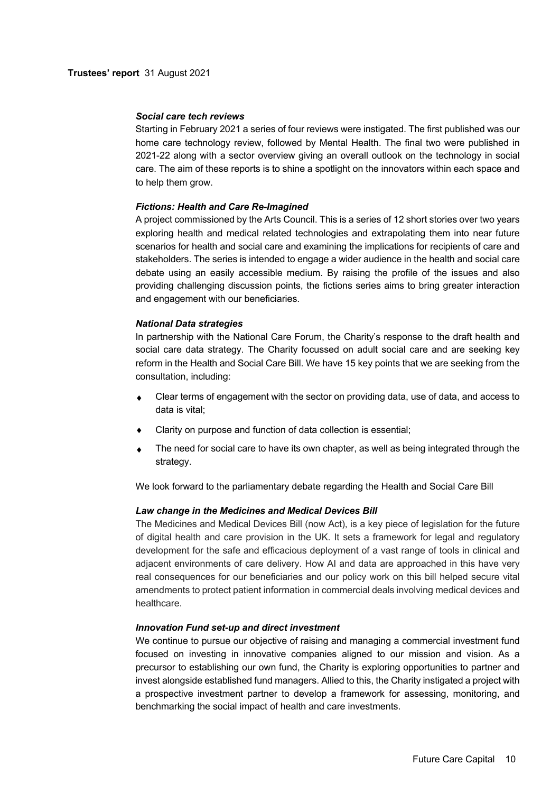### *Social care tech reviews*

Starting in February 2021 a series of four reviews were instigated. The first published was our home care technology review, followed by Mental Health. The final two were published in 2021-22 along with a sector overview giving an overall outlook on the technology in social care. The aim of these reports is to shine a spotlight on the innovators within each space and to help them grow.

## *Fictions: Health and Care Re-Imagined*

A project commissioned by the Arts Council. This is a series of 12 short stories over two years exploring health and medical related technologies and extrapolating them into near future scenarios for health and social care and examining the implications for recipients of care and stakeholders. The series is intended to engage a wider audience in the health and social care debate using an easily accessible medium. By raising the profile of the issues and also providing challenging discussion points, the fictions series aims to bring greater interaction and engagement with our beneficiaries.

## *National Data strategies*

In partnership with the National Care Forum, the Charity's response to the draft health and social care data strategy. The Charity focussed on adult social care and are seeking key reform in the Health and Social Care Bill. We have 15 key points that we are seeking from the consultation, including:

- Clear terms of engagement with the sector on providing data, use of data, and access to data is vital;
- Clarity on purpose and function of data collection is essential;
- The need for social care to have its own chapter, as well as being integrated through the strategy.

We look forward to the parliamentary debate regarding the Health and Social Care Bill

# *Law change in the Medicines and Medical Devices Bill*

The Medicines and Medical Devices Bill (now Act), is a key piece of legislation for the future of digital health and care provision in the UK. It sets a framework for legal and regulatory development for the safe and efficacious deployment of a vast range of tools in clinical and adjacent environments of care delivery. How AI and data are approached in this have very real consequences for our beneficiaries and our policy work on this bill helped secure vital amendments to protect patient information in commercial deals involving medical devices and healthcare.

### *Innovation Fund set-up and direct investment*

We continue to pursue our objective of raising and managing a commercial investment fund focused on investing in innovative companies aligned to our mission and vision. As a precursor to establishing our own fund, the Charity is exploring opportunities to partner and invest alongside established fund managers. Allied to this, the Charity instigated a project with a prospective investment partner to develop a framework for assessing, monitoring, and benchmarking the social impact of health and care investments.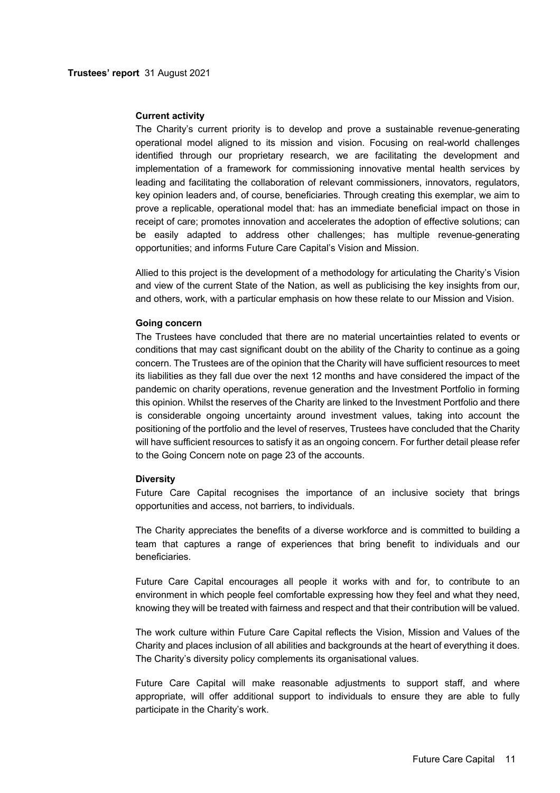### **Current activity**

The Charity's current priority is to develop and prove a sustainable revenue-generating operational model aligned to its mission and vision. Focusing on real-world challenges identified through our proprietary research, we are facilitating the development and implementation of a framework for commissioning innovative mental health services by leading and facilitating the collaboration of relevant commissioners, innovators, regulators, key opinion leaders and, of course, beneficiaries. Through creating this exemplar, we aim to prove a replicable, operational model that: has an immediate beneficial impact on those in receipt of care; promotes innovation and accelerates the adoption of effective solutions; can be easily adapted to address other challenges; has multiple revenue-generating opportunities; and informs Future Care Capital's Vision and Mission.

Allied to this project is the development of a methodology for articulating the Charity's Vision and view of the current State of the Nation, as well as publicising the key insights from our, and others, work, with a particular emphasis on how these relate to our Mission and Vision.

#### **Going concern**

The Trustees have concluded that there are no material uncertainties related to events or conditions that may cast significant doubt on the ability of the Charity to continue as a going concern. The Trustees are of the opinion that the Charity will have sufficient resources to meet its liabilities as they fall due over the next 12 months and have considered the impact of the pandemic on charity operations, revenue generation and the Investment Portfolio in forming this opinion. Whilst the reserves of the Charity are linked to the Investment Portfolio and there is considerable ongoing uncertainty around investment values, taking into account the positioning of the portfolio and the level of reserves, Trustees have concluded that the Charity will have sufficient resources to satisfy it as an ongoing concern. For further detail please refer to the Going Concern note on page 23 of the accounts.

### **Diversity**

Future Care Capital recognises the importance of an inclusive society that brings opportunities and access, not barriers, to individuals.

The Charity appreciates the benefits of a diverse workforce and is committed to building a team that captures a range of experiences that bring benefit to individuals and our beneficiaries.

Future Care Capital encourages all people it works with and for, to contribute to an environment in which people feel comfortable expressing how they feel and what they need, knowing they will be treated with fairness and respect and that their contribution will be valued.

The work culture within Future Care Capital reflects the Vision, Mission and Values of the Charity and places inclusion of all abilities and backgrounds at the heart of everything it does. The Charity's diversity policy complements its organisational values.

Future Care Capital will make reasonable adjustments to support staff, and where appropriate, will offer additional support to individuals to ensure they are able to fully participate in the Charity's work.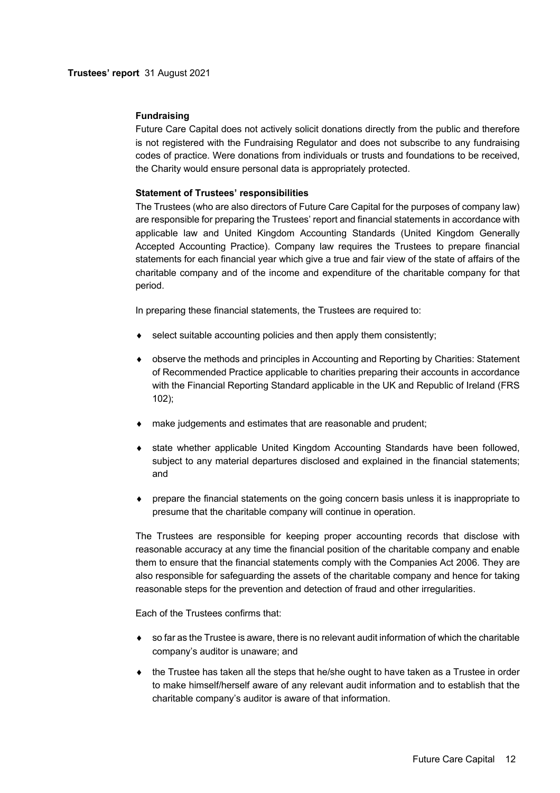## **Fundraising**

Future Care Capital does not actively solicit donations directly from the public and therefore is not registered with the Fundraising Regulator and does not subscribe to any fundraising codes of practice. Were donations from individuals or trusts and foundations to be received, the Charity would ensure personal data is appropriately protected.

### **Statement of Trustees' responsibilities**

The Trustees (who are also directors of Future Care Capital for the purposes of company law) are responsible for preparing the Trustees' report and financial statements in accordance with applicable law and United Kingdom Accounting Standards (United Kingdom Generally Accepted Accounting Practice). Company law requires the Trustees to prepare financial statements for each financial year which give a true and fair view of the state of affairs of the charitable company and of the income and expenditure of the charitable company for that period.

In preparing these financial statements, the Trustees are required to:

- select suitable accounting policies and then apply them consistently;
- ◆ observe the methods and principles in Accounting and Reporting by Charities: Statement of Recommended Practice applicable to charities preparing their accounts in accordance with the Financial Reporting Standard applicable in the UK and Republic of Ireland (FRS 102);
- make judgements and estimates that are reasonable and prudent;
- state whether applicable United Kingdom Accounting Standards have been followed, subject to any material departures disclosed and explained in the financial statements; and
- prepare the financial statements on the going concern basis unless it is inappropriate to presume that the charitable company will continue in operation.

The Trustees are responsible for keeping proper accounting records that disclose with reasonable accuracy at any time the financial position of the charitable company and enable them to ensure that the financial statements comply with the Companies Act 2006. They are also responsible for safeguarding the assets of the charitable company and hence for taking reasonable steps for the prevention and detection of fraud and other irregularities.

Each of the Trustees confirms that:

- $\bullet$  so far as the Trustee is aware, there is no relevant audit information of which the charitable company's auditor is unaware; and
- $\bullet$  the Trustee has taken all the steps that he/she ought to have taken as a Trustee in order to make himself/herself aware of any relevant audit information and to establish that the charitable company's auditor is aware of that information.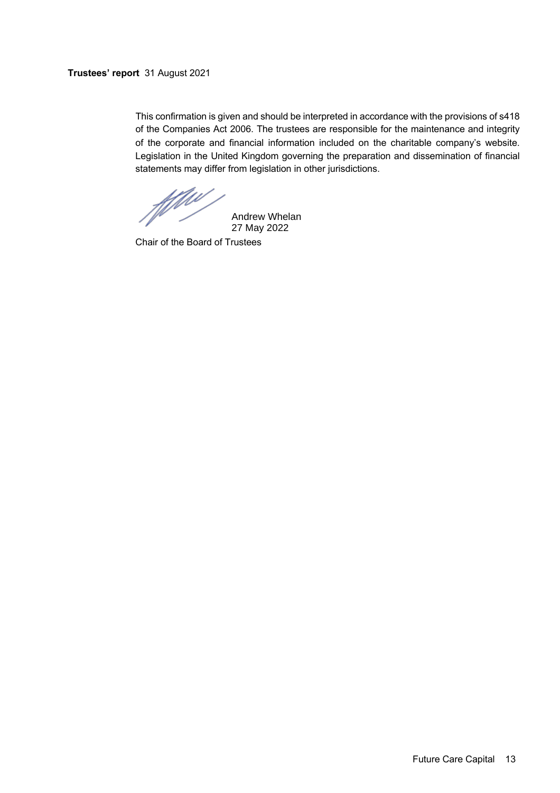# **Trustees' report** 31 August 2021

This confirmation is given and should be interpreted in accordance with the provisions of s418 of the Companies Act 2006. The trustees are responsible for the maintenance and integrity of the corporate and financial information included on the charitable company's website. Legislation in the United Kingdom governing the preparation and dissemination of financial statements may differ from legislation in other jurisdictions.

ffilm

Andrew Whelan 27 May 2022

Chair of the Board of Trustees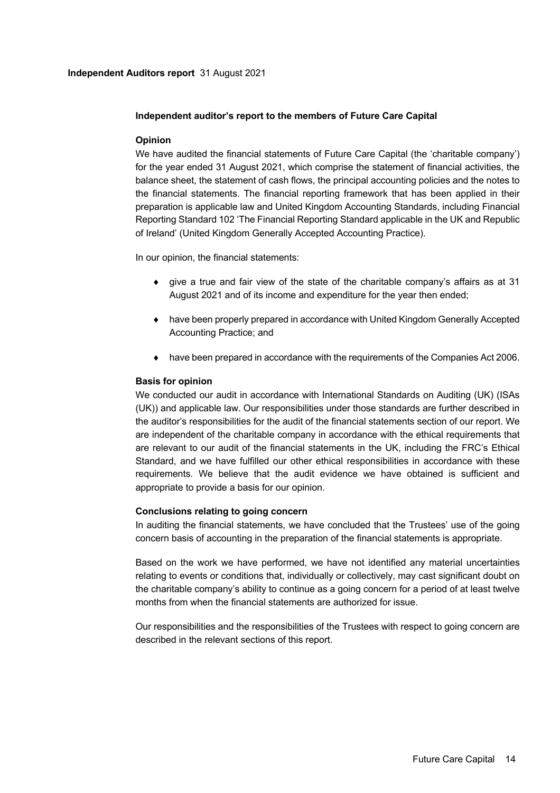## **Independent auditor's report to the members of Future Care Capital**

## **Opinion**

We have audited the financial statements of Future Care Capital (the 'charitable company') for the year ended 31 August 2021, which comprise the statement of financial activities, the balance sheet, the statement of cash flows, the principal accounting policies and the notes to the financial statements. The financial reporting framework that has been applied in their preparation is applicable law and United Kingdom Accounting Standards, including Financial Reporting Standard 102 'The Financial Reporting Standard applicable in the UK and Republic of Ireland' (United Kingdom Generally Accepted Accounting Practice).

In our opinion, the financial statements:

- $\bullet$  give a true and fair view of the state of the charitable company's affairs as at 31 August 2021 and of its income and expenditure for the year then ended;
- ◆ have been properly prepared in accordance with United Kingdom Generally Accepted Accounting Practice; and
- $\bullet$  have been prepared in accordance with the requirements of the Companies Act 2006.

## **Basis for opinion**

We conducted our audit in accordance with International Standards on Auditing (UK) (ISAs (UK)) and applicable law. Our responsibilities under those standards are further described in the auditor's responsibilities for the audit of the financial statements section of our report. We are independent of the charitable company in accordance with the ethical requirements that are relevant to our audit of the financial statements in the UK, including the FRC's Ethical Standard, and we have fulfilled our other ethical responsibilities in accordance with these requirements. We believe that the audit evidence we have obtained is sufficient and appropriate to provide a basis for our opinion.

# **Conclusions relating to going concern**

In auditing the financial statements, we have concluded that the Trustees' use of the going concern basis of accounting in the preparation of the financial statements is appropriate.

Based on the work we have performed, we have not identified any material uncertainties relating to events or conditions that, individually or collectively, may cast significant doubt on the charitable company's ability to continue as a going concern for a period of at least twelve months from when the financial statements are authorized for issue.

Our responsibilities and the responsibilities of the Trustees with respect to going concern are described in the relevant sections of this report.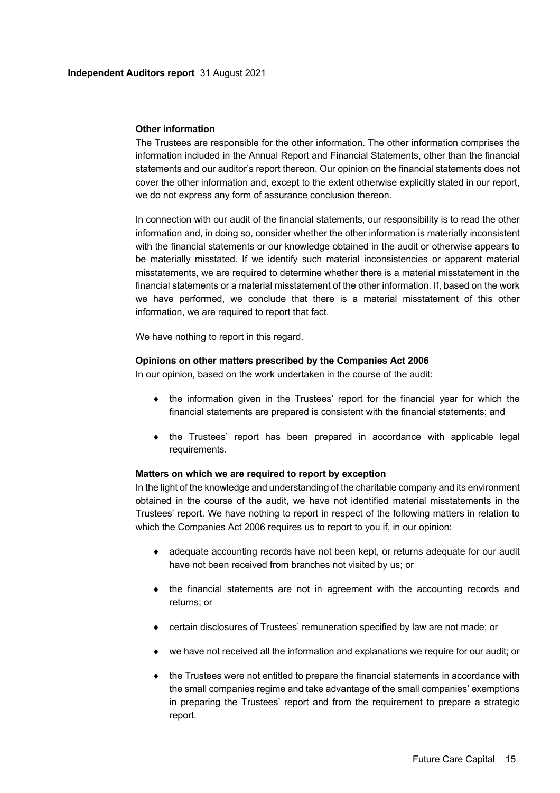### **Other information**

The Trustees are responsible for the other information. The other information comprises the information included in the Annual Report and Financial Statements, other than the financial statements and our auditor's report thereon. Our opinion on the financial statements does not cover the other information and, except to the extent otherwise explicitly stated in our report, we do not express any form of assurance conclusion thereon.

In connection with our audit of the financial statements, our responsibility is to read the other information and, in doing so, consider whether the other information is materially inconsistent with the financial statements or our knowledge obtained in the audit or otherwise appears to be materially misstated. If we identify such material inconsistencies or apparent material misstatements, we are required to determine whether there is a material misstatement in the financial statements or a material misstatement of the other information. If, based on the work we have performed, we conclude that there is a material misstatement of this other information, we are required to report that fact.

We have nothing to report in this regard.

### **Opinions on other matters prescribed by the Companies Act 2006**

In our opinion, based on the work undertaken in the course of the audit:

- the information given in the Trustees' report for the financial year for which the financial statements are prepared is consistent with the financial statements; and
- $\bullet$  the Trustees' report has been prepared in accordance with applicable legal requirements.

### **Matters on which we are required to report by exception**

In the light of the knowledge and understanding of the charitable company and its environment obtained in the course of the audit, we have not identified material misstatements in the Trustees' report. We have nothing to report in respect of the following matters in relation to which the Companies Act 2006 requires us to report to you if, in our opinion:

- adequate accounting records have not been kept, or returns adequate for our audit have not been received from branches not visited by us; or
- $\bullet$  the financial statements are not in agreement with the accounting records and returns; or
- ¨ certain disclosures of Trustees' remuneration specified by law are not made; or
- $\bullet$  we have not received all the information and explanations we require for our audit; or
- $\bullet$  the Trustees were not entitled to prepare the financial statements in accordance with the small companies regime and take advantage of the small companies' exemptions in preparing the Trustees' report and from the requirement to prepare a strategic report.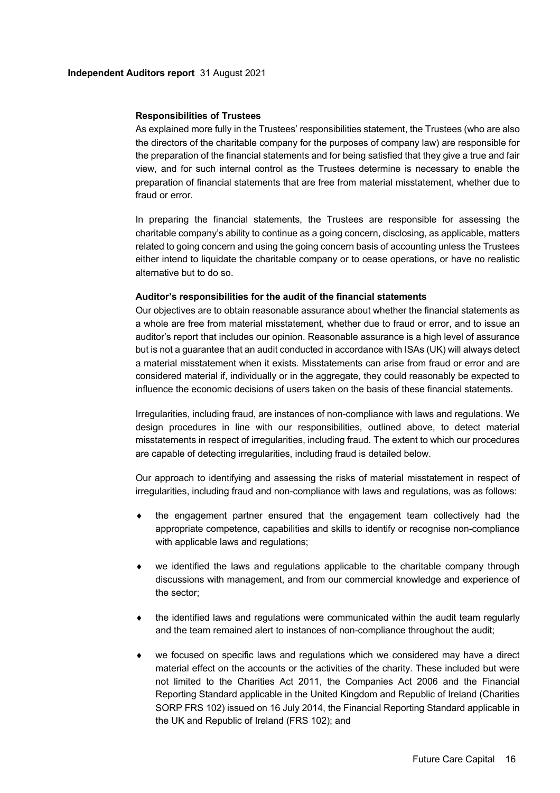### **Responsibilities of Trustees**

As explained more fully in the Trustees' responsibilities statement, the Trustees (who are also the directors of the charitable company for the purposes of company law) are responsible for the preparation of the financial statements and for being satisfied that they give a true and fair view, and for such internal control as the Trustees determine is necessary to enable the preparation of financial statements that are free from material misstatement, whether due to fraud or error.

In preparing the financial statements, the Trustees are responsible for assessing the charitable company's ability to continue as a going concern, disclosing, as applicable, matters related to going concern and using the going concern basis of accounting unless the Trustees either intend to liquidate the charitable company or to cease operations, or have no realistic alternative but to do so.

### **Auditor's responsibilities for the audit of the financial statements**

Our objectives are to obtain reasonable assurance about whether the financial statements as a whole are free from material misstatement, whether due to fraud or error, and to issue an auditor's report that includes our opinion. Reasonable assurance is a high level of assurance but is not a guarantee that an audit conducted in accordance with ISAs (UK) will always detect a material misstatement when it exists. Misstatements can arise from fraud or error and are considered material if, individually or in the aggregate, they could reasonably be expected to influence the economic decisions of users taken on the basis of these financial statements.

Irregularities, including fraud, are instances of non-compliance with laws and regulations. We design procedures in line with our responsibilities, outlined above, to detect material misstatements in respect of irregularities, including fraud. The extent to which our procedures are capable of detecting irregularities, including fraud is detailed below.

Our approach to identifying and assessing the risks of material misstatement in respect of irregularities, including fraud and non-compliance with laws and regulations, was as follows:

- the engagement partner ensured that the engagement team collectively had the appropriate competence, capabilities and skills to identify or recognise non-compliance with applicable laws and regulations;
- we identified the laws and regulations applicable to the charitable company through discussions with management, and from our commercial knowledge and experience of the sector;
- the identified laws and regulations were communicated within the audit team regularly and the team remained alert to instances of non-compliance throughout the audit;
- we focused on specific laws and regulations which we considered may have a direct material effect on the accounts or the activities of the charity. These included but were not limited to the Charities Act 2011, the Companies Act 2006 and the Financial Reporting Standard applicable in the United Kingdom and Republic of Ireland (Charities SORP FRS 102) issued on 16 July 2014, the Financial Reporting Standard applicable in the UK and Republic of Ireland (FRS 102); and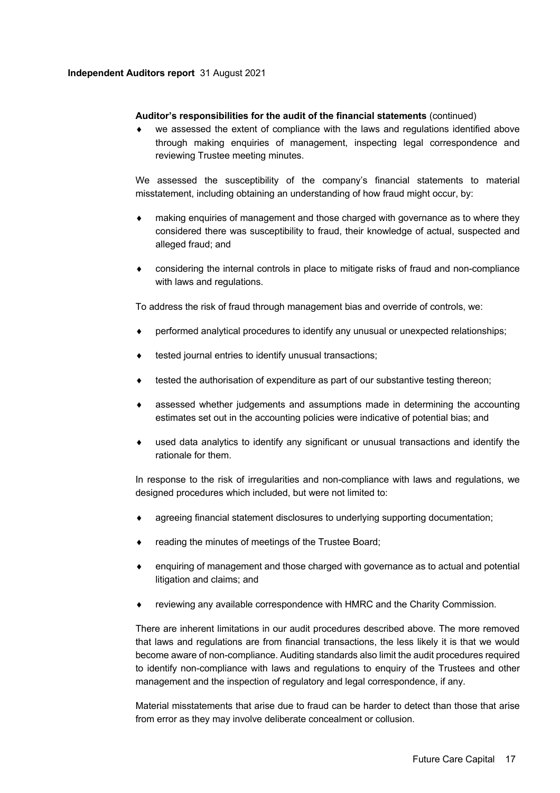## **Independent Auditors report** 31 August 2021

## **Auditor's responsibilities for the audit of the financial statements** (continued)

we assessed the extent of compliance with the laws and regulations identified above through making enquiries of management, inspecting legal correspondence and reviewing Trustee meeting minutes.

We assessed the susceptibility of the company's financial statements to material misstatement, including obtaining an understanding of how fraud might occur, by:

- making enquiries of management and those charged with governance as to where they considered there was susceptibility to fraud, their knowledge of actual, suspected and alleged fraud; and
- considering the internal controls in place to mitigate risks of fraud and non-compliance with laws and regulations.

To address the risk of fraud through management bias and override of controls, we:

- performed analytical procedures to identify any unusual or unexpected relationships;
- tested journal entries to identify unusual transactions;
- tested the authorisation of expenditure as part of our substantive testing thereon;
- assessed whether judgements and assumptions made in determining the accounting estimates set out in the accounting policies were indicative of potential bias; and
- used data analytics to identify any significant or unusual transactions and identify the rationale for them.

In response to the risk of irregularities and non-compliance with laws and regulations, we designed procedures which included, but were not limited to:

- agreeing financial statement disclosures to underlying supporting documentation;
- reading the minutes of meetings of the Trustee Board;
- enquiring of management and those charged with governance as to actual and potential litigation and claims; and
- reviewing any available correspondence with HMRC and the Charity Commission.

There are inherent limitations in our audit procedures described above. The more removed that laws and regulations are from financial transactions, the less likely it is that we would become aware of non-compliance. Auditing standards also limit the audit procedures required to identify non-compliance with laws and regulations to enquiry of the Trustees and other management and the inspection of regulatory and legal correspondence, if any.

Material misstatements that arise due to fraud can be harder to detect than those that arise from error as they may involve deliberate concealment or collusion.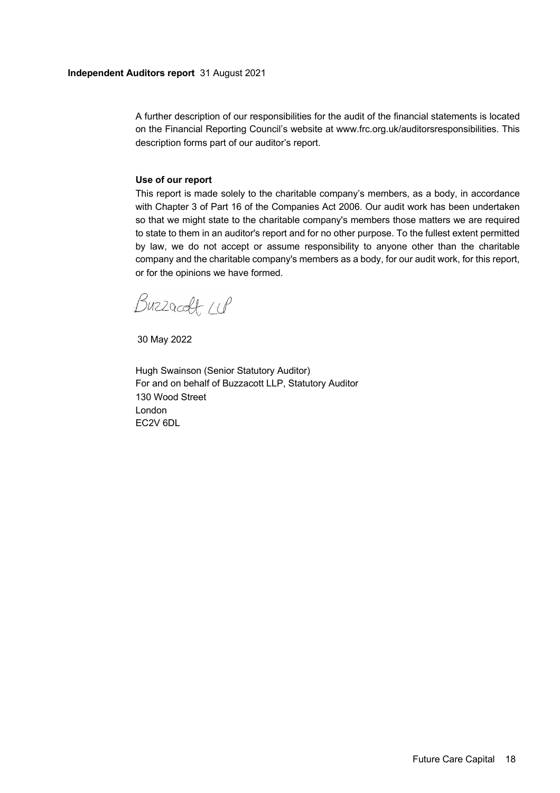A further description of our responsibilities for the audit of the financial statements is located on the Financial Reporting Council's website at www.frc.org.uk/auditorsresponsibilities. This description forms part of our auditor's report.

# **Use of our report**

This report is made solely to the charitable company's members, as a body, in accordance with Chapter 3 of Part 16 of the Companies Act 2006. Our audit work has been undertaken so that we might state to the charitable company's members those matters we are required to state to them in an auditor's report and for no other purpose. To the fullest extent permitted by law, we do not accept or assume responsibility to anyone other than the charitable company and the charitable company's members as a body, for our audit work, for this report, or for the opinions we have formed.

Buzzaceft 11P

30 May 2022

Hugh Swainson (Senior Statutory Auditor) For and on behalf of Buzzacott LLP, Statutory Auditor 130 Wood Street London EC2V 6DL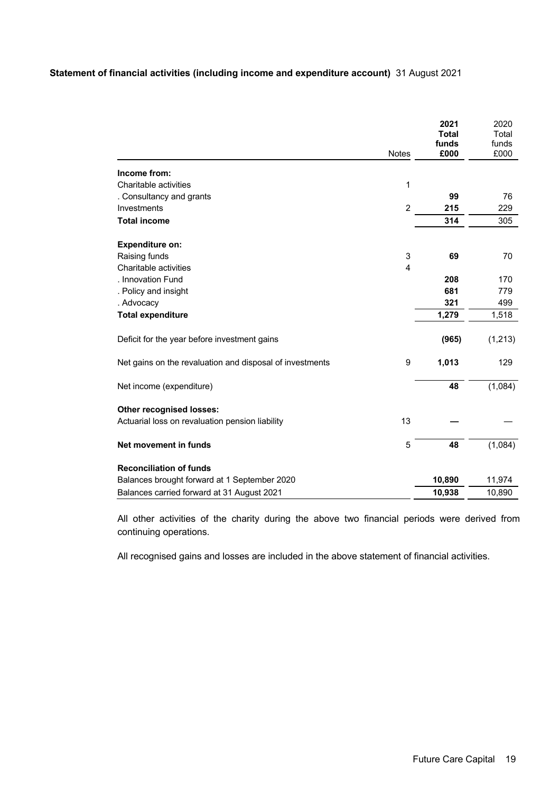# **Statement of financial activities (including income and expenditure account)** 31 August 2021

|                                                          |                | 2021<br><b>Total</b> | 2020<br>Total |
|----------------------------------------------------------|----------------|----------------------|---------------|
|                                                          |                | funds                | funds         |
|                                                          | <b>Notes</b>   | £000                 | £000          |
| Income from:                                             |                |                      |               |
| Charitable activities                                    | 1              |                      |               |
| . Consultancy and grants                                 |                | 99                   | 76            |
| Investments                                              | $\overline{2}$ | 215                  | 229           |
| <b>Total income</b>                                      |                | 314                  | 305           |
| <b>Expenditure on:</b>                                   |                |                      |               |
| Raising funds                                            | 3              | 69                   | 70            |
| Charitable activities                                    | $\overline{4}$ |                      |               |
| . Innovation Fund                                        |                | 208                  | 170           |
| . Policy and insight                                     |                | 681                  | 779           |
| . Advocacy                                               |                | 321                  | 499           |
| <b>Total expenditure</b>                                 |                | 1,279                | 1,518         |
| Deficit for the year before investment gains             |                | (965)                | (1, 213)      |
| Net gains on the revaluation and disposal of investments | 9              | 1,013                | 129           |
| Net income (expenditure)                                 |                | 48                   | (1,084)       |
| Other recognised losses:                                 |                |                      |               |
| Actuarial loss on revaluation pension liability          | 13             |                      |               |
| Net movement in funds                                    | 5              | 48                   | (1,084)       |
| <b>Reconciliation of funds</b>                           |                |                      |               |
| Balances brought forward at 1 September 2020             |                | 10,890               | 11,974        |
| Balances carried forward at 31 August 2021               |                | 10,938               | 10,890        |

All other activities of the charity during the above two financial periods were derived from continuing operations.

All recognised gains and losses are included in the above statement of financial activities.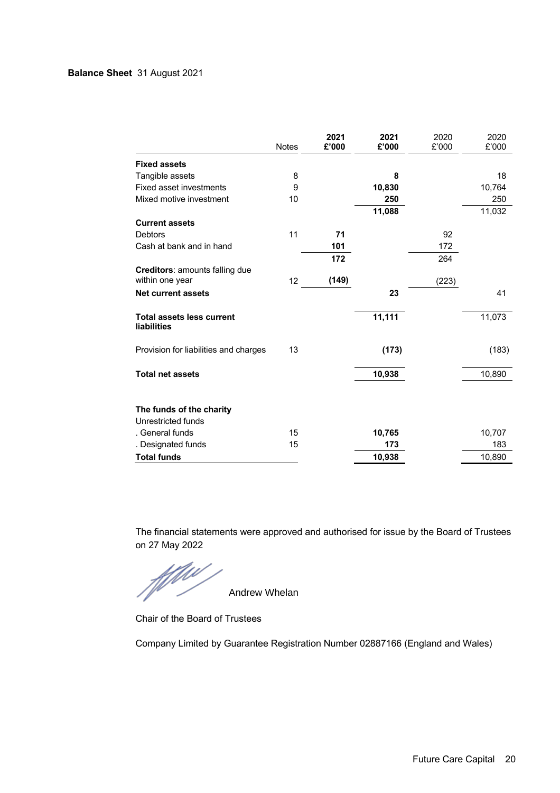# **Balance Sheet** 31 August 2021

|                                                        | <b>Notes</b> | 2021<br>£'000 | 2021<br>£'000 | 2020<br>£'000 | 2020<br>£'000 |
|--------------------------------------------------------|--------------|---------------|---------------|---------------|---------------|
| <b>Fixed assets</b>                                    |              |               |               |               |               |
| Tangible assets                                        | 8            |               | 8             |               | 18            |
| <b>Fixed asset investments</b>                         | 9            |               | 10,830        |               | 10,764        |
| Mixed motive investment                                | 10           |               | 250           |               | 250           |
|                                                        |              |               | 11,088        |               | 11,032        |
| <b>Current assets</b>                                  |              |               |               |               |               |
| <b>Debtors</b>                                         | 11           | 71            |               | 92            |               |
| Cash at bank and in hand                               |              | 101           |               | 172           |               |
|                                                        |              | 172           |               | 264           |               |
| Creditors: amounts falling due<br>within one year      | 12           | (149)         |               | (223)         |               |
| <b>Net current assets</b>                              |              |               | 23            |               | 41            |
| <b>Total assets less current</b><br><b>liabilities</b> |              |               | 11,111        |               | 11,073        |
| Provision for liabilities and charges                  | 13           |               | (173)         |               | (183)         |
| <b>Total net assets</b>                                |              |               | 10,938        |               | 10,890        |
| The funds of the charity<br>Unrestricted funds         |              |               |               |               |               |
| . General funds                                        | 15           |               | 10,765        |               | 10,707        |
| . Designated funds                                     | 15           |               | 173           |               | 183           |
| <b>Total funds</b>                                     |              |               | 10,938        |               | 10,890        |

The financial statements were approved and authorised for issue by the Board of Trustees

on 27 May 2022

Andrew Whelan

Chair of the Board of Trustees

Company Limited by Guarantee Registration Number 02887166 (England and Wales)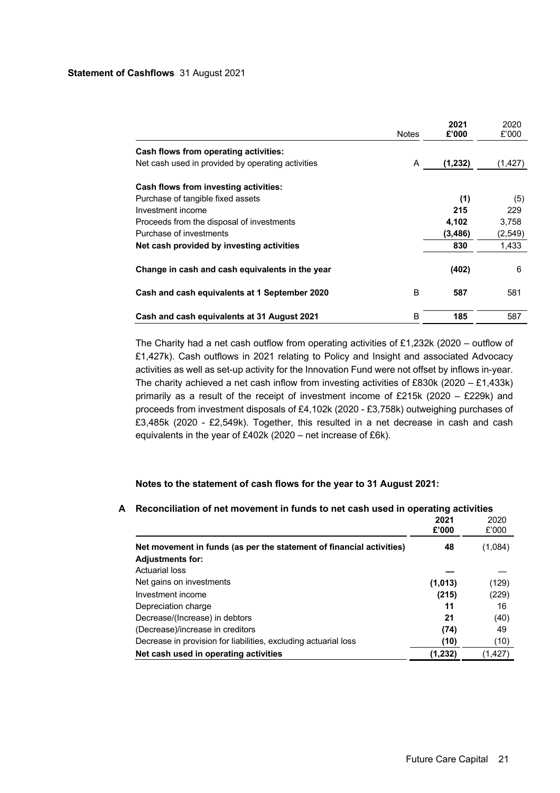|                                                   | <b>Notes</b> | 2021<br>£'000 | 2020<br>£'000 |
|---------------------------------------------------|--------------|---------------|---------------|
| Cash flows from operating activities:             |              |               |               |
| Net cash used in provided by operating activities | A            | (1,232)       | (1, 427)      |
| <b>Cash flows from investing activities:</b>      |              |               |               |
| Purchase of tangible fixed assets                 |              | (1)           | (5)           |
| Investment income                                 |              | 215           | 229           |
| Proceeds from the disposal of investments         |              | 4,102         | 3,758         |
| Purchase of investments                           |              | (3, 486)      | (2, 549)      |
| Net cash provided by investing activities         |              | 830           | 1,433         |
| Change in cash and cash equivalents in the year   |              | (402)         | 6             |
| Cash and cash equivalents at 1 September 2020     | B            | 587           | 581           |
| Cash and cash equivalents at 31 August 2021       | в            | 185           | 587           |

The Charity had a net cash outflow from operating activities of £1,232k (2020 – outflow of £1,427k). Cash outflows in 2021 relating to Policy and Insight and associated Advocacy activities as well as set-up activity for the Innovation Fund were not offset by inflows in-year. The charity achieved a net cash inflow from investing activities of £830k (2020 – £1,433k) primarily as a result of the receipt of investment income of £215k (2020 – £229k) and proceeds from investment disposals of £4,102k (2020 - £3,758k) outweighing purchases of £3,485k (2020 - £2,549k). Together, this resulted in a net decrease in cash and cash equivalents in the year of £402k (2020 – net increase of £6k).

# **Notes to the statement of cash flows for the year to 31 August 2021:**

|                                                                      | 2021<br>£'000 | 2020<br>£'000 |
|----------------------------------------------------------------------|---------------|---------------|
| Net movement in funds (as per the statement of financial activities) | 48            | (1,084)       |
| <b>Adjustments for:</b>                                              |               |               |
| Actuarial loss                                                       |               |               |
| Net gains on investments                                             | (1,013)       | (129)         |
| Investment income                                                    | (215)         | (229)         |
| Depreciation charge                                                  | 11            | 16            |
| Decrease/(Increase) in debtors                                       | 21            | (40)          |
| (Decrease)/increase in creditors                                     | (74)          | 49            |
| Decrease in provision for liabilities, excluding actuarial loss      | (10)          | (10)          |
| Net cash used in operating activities                                | (1,232)       | (1, 427)      |

## **A Reconciliation of net movement in funds to net cash used in operating activities**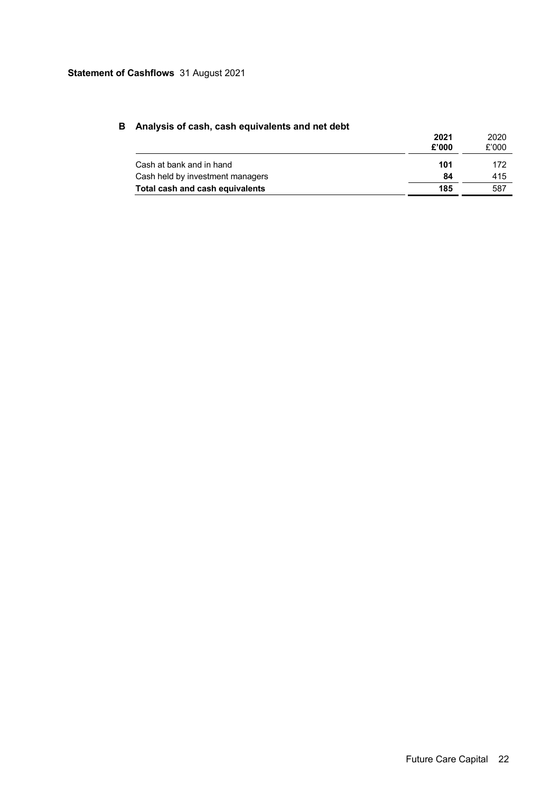# **Statement of Cashflows** 31 August 2021

| 2021<br>£'000 | 2020<br>£'000 |
|---------------|---------------|
| 101           | 172           |
| 84            | 415           |
| 185           | 587           |
|               |               |

# **B Analysis of cash, cash equivalents and net debt**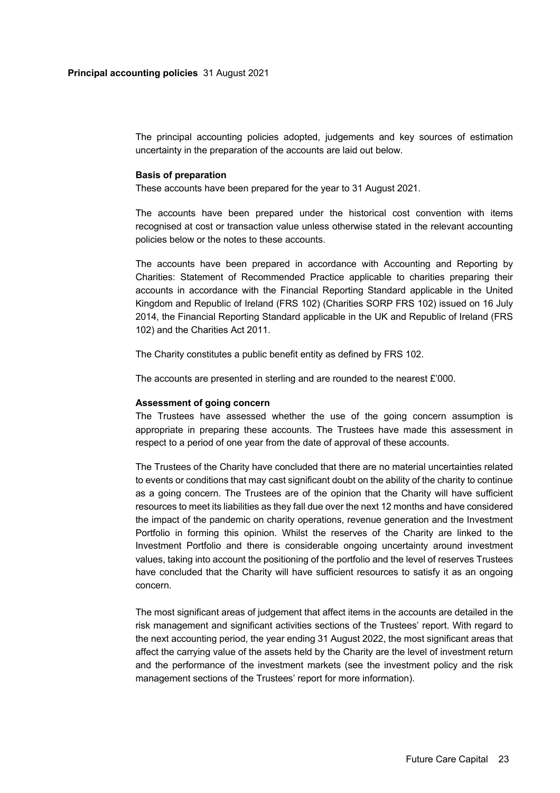The principal accounting policies adopted, judgements and key sources of estimation uncertainty in the preparation of the accounts are laid out below.

### **Basis of preparation**

These accounts have been prepared for the year to 31 August 2021.

The accounts have been prepared under the historical cost convention with items recognised at cost or transaction value unless otherwise stated in the relevant accounting policies below or the notes to these accounts.

The accounts have been prepared in accordance with Accounting and Reporting by Charities: Statement of Recommended Practice applicable to charities preparing their accounts in accordance with the Financial Reporting Standard applicable in the United Kingdom and Republic of Ireland (FRS 102) (Charities SORP FRS 102) issued on 16 July 2014, the Financial Reporting Standard applicable in the UK and Republic of Ireland (FRS 102) and the Charities Act 2011.

The Charity constitutes a public benefit entity as defined by FRS 102.

The accounts are presented in sterling and are rounded to the nearest £'000.

### **Assessment of going concern**

The Trustees have assessed whether the use of the going concern assumption is appropriate in preparing these accounts. The Trustees have made this assessment in respect to a period of one year from the date of approval of these accounts.

The Trustees of the Charity have concluded that there are no material uncertainties related to events or conditions that may cast significant doubt on the ability of the charity to continue as a going concern. The Trustees are of the opinion that the Charity will have sufficient resources to meet its liabilities as they fall due over the next 12 months and have considered the impact of the pandemic on charity operations, revenue generation and the Investment Portfolio in forming this opinion. Whilst the reserves of the Charity are linked to the Investment Portfolio and there is considerable ongoing uncertainty around investment values, taking into account the positioning of the portfolio and the level of reserves Trustees have concluded that the Charity will have sufficient resources to satisfy it as an ongoing concern.

The most significant areas of judgement that affect items in the accounts are detailed in the risk management and significant activities sections of the Trustees' report. With regard to the next accounting period, the year ending 31 August 2022, the most significant areas that affect the carrying value of the assets held by the Charity are the level of investment return and the performance of the investment markets (see the investment policy and the risk management sections of the Trustees' report for more information).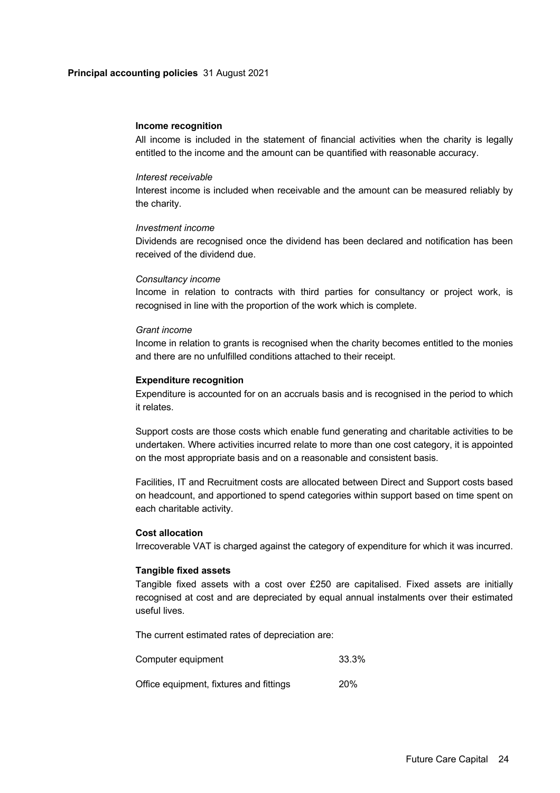### **Principal accounting policies** 31 August 2021

### **Income recognition**

All income is included in the statement of financial activities when the charity is legally entitled to the income and the amount can be quantified with reasonable accuracy.

### *Interest receivable*

Interest income is included when receivable and the amount can be measured reliably by the charity.

### *Investment income*

Dividends are recognised once the dividend has been declared and notification has been received of the dividend due.

### *Consultancy income*

Income in relation to contracts with third parties for consultancy or project work, is recognised in line with the proportion of the work which is complete.

## *Grant income*

Income in relation to grants is recognised when the charity becomes entitled to the monies and there are no unfulfilled conditions attached to their receipt.

### **Expenditure recognition**

Expenditure is accounted for on an accruals basis and is recognised in the period to which it relates.

Support costs are those costs which enable fund generating and charitable activities to be undertaken. Where activities incurred relate to more than one cost category, it is appointed on the most appropriate basis and on a reasonable and consistent basis.

Facilities, IT and Recruitment costs are allocated between Direct and Support costs based on headcount, and apportioned to spend categories within support based on time spent on each charitable activity.

### **Cost allocation**

Irrecoverable VAT is charged against the category of expenditure for which it was incurred.

### **Tangible fixed assets**

Tangible fixed assets with a cost over £250 are capitalised. Fixed assets are initially recognised at cost and are depreciated by equal annual instalments over their estimated useful lives.

The current estimated rates of depreciation are:

| Computer equipment                      | 33.3%      |
|-----------------------------------------|------------|
| Office equipment, fixtures and fittings | <b>20%</b> |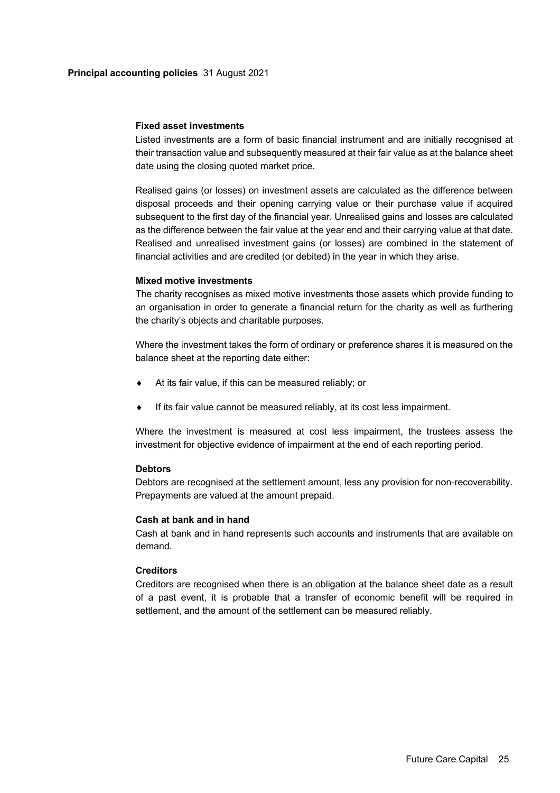### **Fixed asset investments**

Listed investments are a form of basic financial instrument and are initially recognised at their transaction value and subsequently measured at their fair value as at the balance sheet date using the closing quoted market price.

Realised gains (or losses) on investment assets are calculated as the difference between disposal proceeds and their opening carrying value or their purchase value if acquired subsequent to the first day of the financial year. Unrealised gains and losses are calculated as the difference between the fair value at the year end and their carrying value at that date. Realised and unrealised investment gains (or losses) are combined in the statement of financial activities and are credited (or debited) in the year in which they arise.

## **Mixed motive investments**

The charity recognises as mixed motive investments those assets which provide funding to an organisation in order to generate a financial return for the charity as well as furthering the charity's objects and charitable purposes.

Where the investment takes the form of ordinary or preference shares it is measured on the balance sheet at the reporting date either:

- At its fair value, if this can be measured reliably; or
- If its fair value cannot be measured reliably, at its cost less impairment.

Where the investment is measured at cost less impairment, the trustees assess the investment for objective evidence of impairment at the end of each reporting period.

# **Debtors**

Debtors are recognised at the settlement amount, less any provision for non-recoverability. Prepayments are valued at the amount prepaid.

### **Cash at bank and in hand**

Cash at bank and in hand represents such accounts and instruments that are available on demand.

# **Creditors**

Creditors are recognised when there is an obligation at the balance sheet date as a result of a past event, it is probable that a transfer of economic benefit will be required in settlement, and the amount of the settlement can be measured reliably.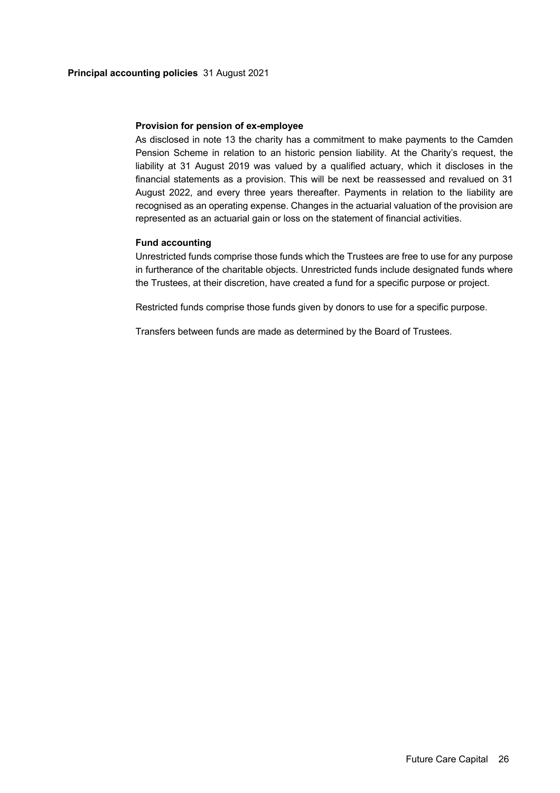## **Provision for pension of ex-employee**

As disclosed in note 13 the charity has a commitment to make payments to the Camden Pension Scheme in relation to an historic pension liability. At the Charity's request, the liability at 31 August 2019 was valued by a qualified actuary, which it discloses in the financial statements as a provision. This will be next be reassessed and revalued on 31 August 2022, and every three years thereafter. Payments in relation to the liability are recognised as an operating expense. Changes in the actuarial valuation of the provision are represented as an actuarial gain or loss on the statement of financial activities.

# **Fund accounting**

Unrestricted funds comprise those funds which the Trustees are free to use for any purpose in furtherance of the charitable objects. Unrestricted funds include designated funds where the Trustees, at their discretion, have created a fund for a specific purpose or project.

Restricted funds comprise those funds given by donors to use for a specific purpose.

Transfers between funds are made as determined by the Board of Trustees.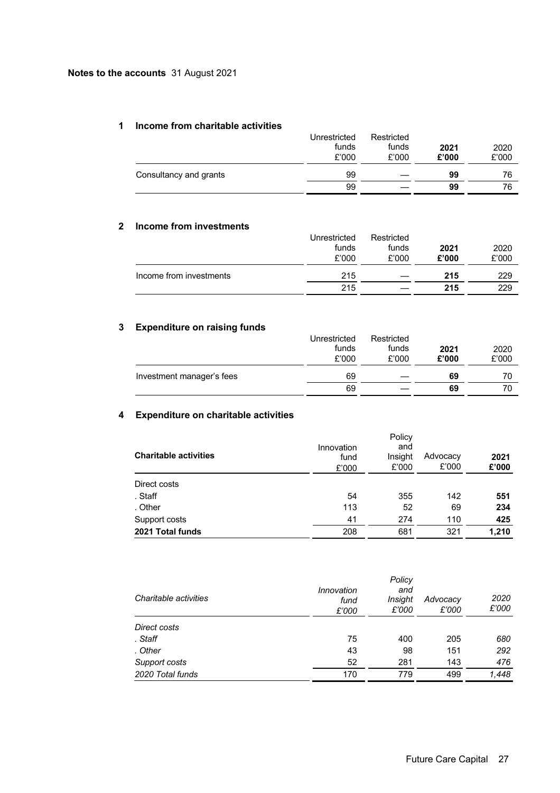## **1 Income from charitable activities**

| Unrestricted | Restricted |       |       |
|--------------|------------|-------|-------|
| funds        | funds      | 2021  | 2020  |
| £'000        | £'000      | £'000 | £'000 |
| 99           |            | 99    | 76    |
| 99           |            | 99    | 76    |
|              |            |       |       |

# **2 Income from investments**

| L | <u>THUMING HUIH HIVESUNGHUS</u> | Unrestricted<br>funds<br>£'000 | Restricted<br>funds<br>£'000 | 2021<br>£'000 | 2020<br>£'000 |
|---|---------------------------------|--------------------------------|------------------------------|---------------|---------------|
|   | Income from investments         | 215                            |                              | 215           | 229           |
|   |                                 | 215                            |                              | 215           | 229           |

# **3 Expenditure on raising funds**

|                           | Unrestricted | Restricted |       |       |
|---------------------------|--------------|------------|-------|-------|
|                           | funds        | funds      | 2021  | 2020  |
|                           | £'000        | £'000      | £'000 | £'000 |
| Investment manager's fees | 69           |            | 69    | 70    |
|                           | 69           |            | 69    | 70    |

# **4 Expenditure on charitable activities**

| <b>Charitable activities</b> | Innovation<br>fund<br>£'000 | Policy<br>and<br>Insight<br>£'000 | Advocacy<br>£'000 | 2021<br>£'000 |
|------------------------------|-----------------------------|-----------------------------------|-------------------|---------------|
| Direct costs                 |                             |                                   |                   |               |
| . Staff                      | 54                          | 355                               | 142               | 551           |
| . Other                      | 113                         | 52                                | 69                | 234           |
| Support costs                | 41                          | 274                               | 110               | 425           |
| 2021 Total funds             | 208                         | 681                               | 321               | 1,210         |

| Charitable activities | Innovation<br>fund<br>£'000 | Policy<br>and<br>Insight<br>£'000 | Advocacy<br>£'000 | 2020<br>£'000 |
|-----------------------|-----------------------------|-----------------------------------|-------------------|---------------|
| Direct costs          |                             |                                   |                   |               |
| . Staff               | 75                          | 400                               | 205               | 680           |
| . Other               | 43                          | 98                                | 151               | 292           |
| Support costs         | 52                          | 281                               | 143               | 476           |
| 2020 Total funds      | 170                         | 779                               | 499               | 1,448         |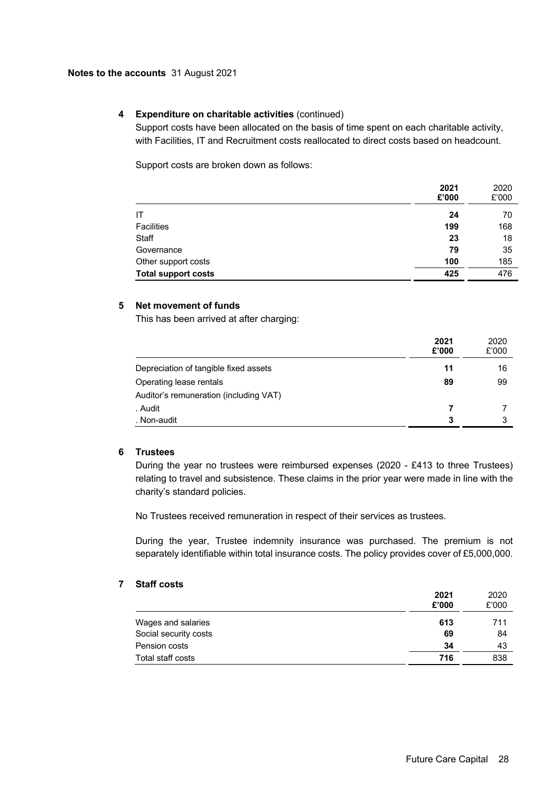# **4 Expenditure on charitable activities** (continued)

Support costs have been allocated on the basis of time spent on each charitable activity, with Facilities, IT and Recruitment costs reallocated to direct costs based on headcount.

Support costs are broken down as follows:

|                            | 2021<br>£'000 | 2020<br>£'000 |
|----------------------------|---------------|---------------|
| IΤ                         | 24            | 70            |
| <b>Facilities</b>          | 199           | 168           |
| <b>Staff</b>               | 23            | 18            |
| Governance                 | 79            | 35            |
| Other support costs        | 100           | 185           |
| <b>Total support costs</b> | 425           | 476           |

# **5 Net movement of funds**

This has been arrived at after charging:

|                                        | 2021<br>£'000 | 2020<br>£'000 |
|----------------------------------------|---------------|---------------|
| Depreciation of tangible fixed assets  | 11            | 16            |
| Operating lease rentals                | 89            | 99            |
| Auditor's remuneration (including VAT) |               |               |
| . Audit                                |               |               |
| . Non-audit                            | 3             |               |

### **6 Trustees**

During the year no trustees were reimbursed expenses (2020 - £413 to three Trustees) relating to travel and subsistence. These claims in the prior year were made in line with the charity's standard policies.

No Trustees received remuneration in respect of their services as trustees.

During the year, Trustee indemnity insurance was purchased. The premium is not separately identifiable within total insurance costs. The policy provides cover of £5,000,000.

## **7 Staff costs**

|                       | 2021<br>£'000 | 2020<br>£'000 |
|-----------------------|---------------|---------------|
| Wages and salaries    | 613           | 711           |
| Social security costs | 69            | 84            |
| Pension costs         | 34            | 43            |
| Total staff costs     | 716           | 838           |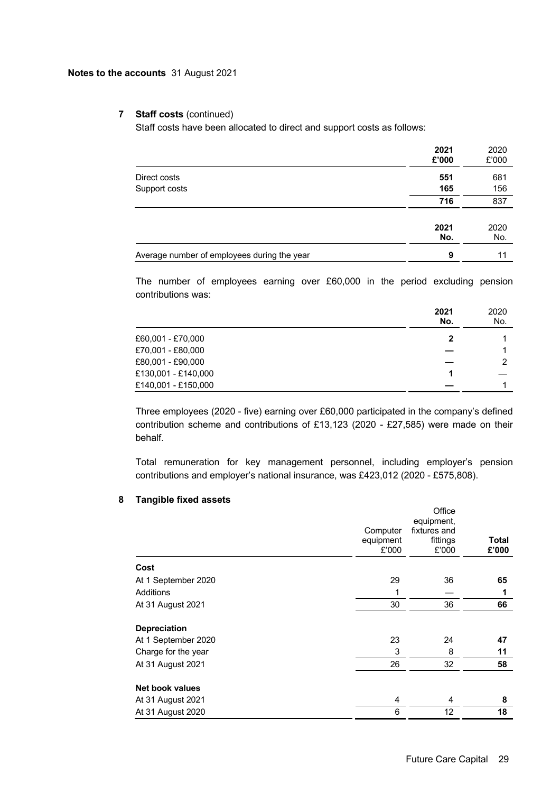# **7 Staff costs** (continued)

Staff costs have been allocated to direct and support costs as follows:

|                                             | 2021<br>£'000 | 2020<br>£'000 |
|---------------------------------------------|---------------|---------------|
| Direct costs                                | 551           | 681           |
| Support costs                               | 165           | 156           |
|                                             | 716           | 837           |
|                                             | 2021<br>No.   | 2020<br>No.   |
| Average number of employees during the year | 9             | 11            |

The number of employees earning over £60,000 in the period excluding pension contributions was:

|                     | 2021<br>No. | 2020<br>No. |
|---------------------|-------------|-------------|
| £60,001 - £70,000   | 2           |             |
| £70,001 - £80,000   |             |             |
| £80,001 - £90,000   |             | 2           |
| £130,001 - £140,000 |             |             |
| £140,001 - £150,000 |             |             |

Three employees (2020 - five) earning over £60,000 participated in the company's defined contribution scheme and contributions of £13,123 (2020 - £27,585) were made on their behalf.

Total remuneration for key management personnel, including employer's pension contributions and employer's national insurance, was £423,012 (2020 - £575,808).

# **8 Tangible fixed assets**

|                        | Computer<br>equipment<br>£'000 | Office<br>equipment,<br>fixtures and<br>fittings<br>£'000 | Total<br>£'000 |
|------------------------|--------------------------------|-----------------------------------------------------------|----------------|
| Cost                   |                                |                                                           |                |
| At 1 September 2020    | 29                             | 36                                                        | 65             |
| <b>Additions</b>       | 1                              |                                                           | 1              |
| At 31 August 2021      | 30                             | 36                                                        | 66             |
| <b>Depreciation</b>    |                                |                                                           |                |
| At 1 September 2020    | 23                             | 24                                                        | 47             |
| Charge for the year    | 3                              | 8                                                         | 11             |
| At 31 August 2021      | 26                             | 32                                                        | 58             |
| <b>Net book values</b> |                                |                                                           |                |
| At 31 August 2021      | 4                              | 4                                                         | 8              |
| At 31 August 2020      | 6                              | 12                                                        | 18             |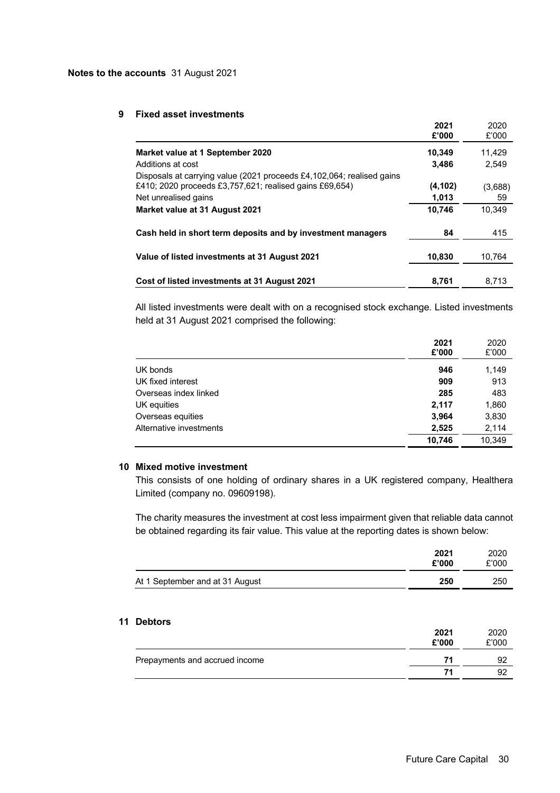### **9 Fixed asset investments**

|                                                                                                                                                                                            | 2021<br>£'000              | 2020<br>£'000           |
|--------------------------------------------------------------------------------------------------------------------------------------------------------------------------------------------|----------------------------|-------------------------|
| Market value at 1 September 2020                                                                                                                                                           | 10,349                     | 11.429                  |
| Additions at cost                                                                                                                                                                          | 3,486                      | 2.549                   |
| Disposals at carrying value (2021 proceeds £4,102,064; realised gains<br>£410; 2020 proceeds £3,757,621; realised gains £69,654)<br>Net unrealised gains<br>Market value at 31 August 2021 | (4,102)<br>1,013<br>10,746 | (3,688)<br>59<br>10.349 |
| Cash held in short term deposits and by investment managers                                                                                                                                | 84                         | 415                     |
| Value of listed investments at 31 August 2021                                                                                                                                              | 10,830                     | 10.764                  |
| Cost of listed investments at 31 August 2021                                                                                                                                               | 8,761                      | 8,713                   |

All listed investments were dealt with on a recognised stock exchange. Listed investments held at 31 August 2021 comprised the following:

|                         | 2021<br>£'000 | 2020<br>£'000 |
|-------------------------|---------------|---------------|
| UK bonds                | 946           | 1,149         |
| UK fixed interest       | 909           | 913           |
| Overseas index linked   | 285           | 483           |
| UK equities             | 2,117         | 1,860         |
| Overseas equities       | 3,964         | 3,830         |
| Alternative investments | 2.525         | 2,114         |
|                         | 10.746        | 10.349        |

## **10 Mixed motive investment**

This consists of one holding of ordinary shares in a UK registered company, Healthera Limited (company no. 09609198).

The charity measures the investment at cost less impairment given that reliable data cannot be obtained regarding its fair value. This value at the reporting dates is shown below:

|                                 | 2021<br>£'000 | 2020<br>£'000 |
|---------------------------------|---------------|---------------|
| At 1 September and at 31 August | 250           | 250           |

# **11 Debtors**

| 2021<br>£'000 | 2020<br>£'000 |
|---------------|---------------|
| 71            | Q.            |
| 71            | റ             |
|               |               |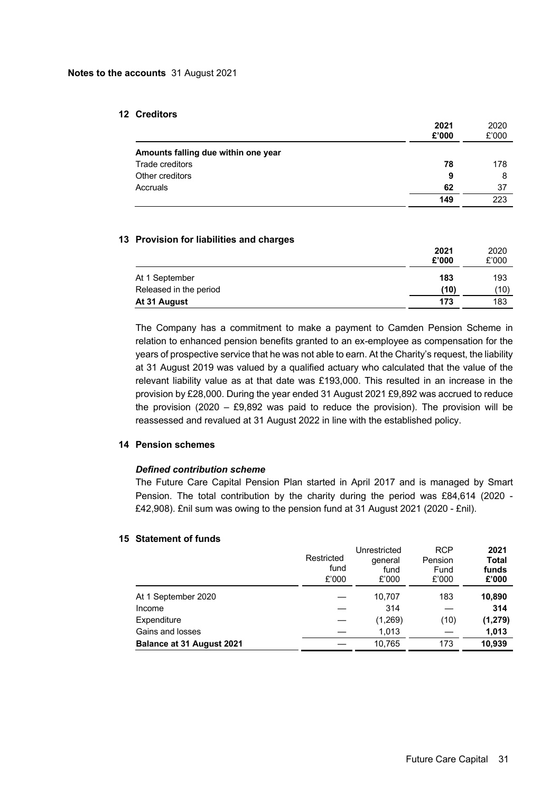## **12 Creditors**

|                                     | 2021<br>£'000 | 2020<br>£'000 |
|-------------------------------------|---------------|---------------|
| Amounts falling due within one year |               |               |
| Trade creditors                     | 78            | 178           |
| Other creditors                     | 9             | 8             |
| Accruals                            | 62            | 37            |
|                                     | 149           | 223           |

### **13 Provision for liabilities and charges**

|                        | 2021<br>£'000 | 2020<br>£'000 |
|------------------------|---------------|---------------|
| At 1 September         | 183           | 193           |
| Released in the period | (10)          | (10)          |
| At 31 August           | 173           | 183           |

The Company has a commitment to make a payment to Camden Pension Scheme in relation to enhanced pension benefits granted to an ex-employee as compensation for the years of prospective service that he was not able to earn. At the Charity's request, the liability at 31 August 2019 was valued by a qualified actuary who calculated that the value of the relevant liability value as at that date was £193,000. This resulted in an increase in the provision by £28,000. During the year ended 31 August 2021 £9,892 was accrued to reduce the provision (2020 – £9,892 was paid to reduce the provision). The provision will be reassessed and revalued at 31 August 2022 in line with the established policy.

### **14 Pension schemes**

## *Defined contribution scheme*

The Future Care Capital Pension Plan started in April 2017 and is managed by Smart Pension. The total contribution by the charity during the period was £84,614 (2020 - £42,908). £nil sum was owing to the pension fund at 31 August 2021 (2020 - £nil).

### **15 Statement of funds**

|                                  | Restricted<br>fund<br>£'000 | Unrestricted<br>general<br>fund<br>£'000 | <b>RCP</b><br>Pension<br>Fund<br>£'000 | 2021<br><b>Total</b><br>funds<br>£'000 |
|----------------------------------|-----------------------------|------------------------------------------|----------------------------------------|----------------------------------------|
| At 1 September 2020              |                             | 10,707                                   | 183                                    | 10,890                                 |
| Income                           |                             | 314                                      |                                        | 314                                    |
| Expenditure                      |                             | (1,269)                                  | (10)                                   | (1, 279)                               |
| Gains and losses                 |                             | 1,013                                    |                                        | 1,013                                  |
| <b>Balance at 31 August 2021</b> |                             | 10,765                                   | 173                                    | 10,939                                 |